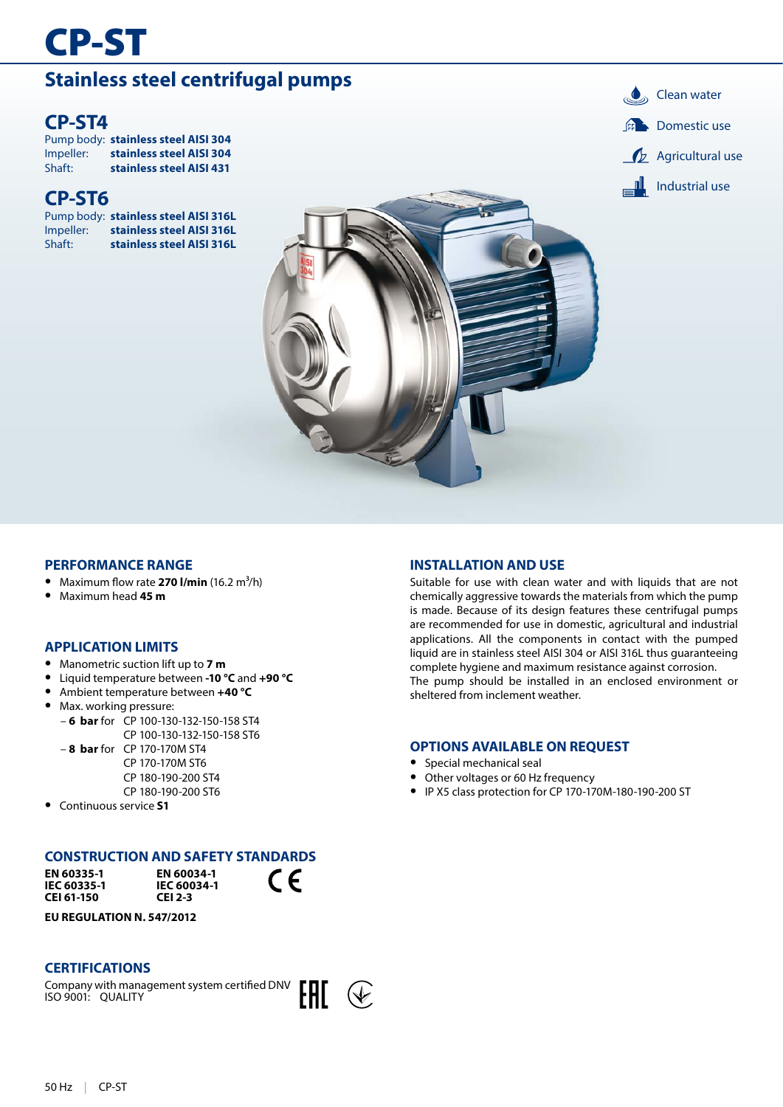# CP-ST

# **Stainless steel centrifugal pumps Clean water**

Pump body: **stainless steel AISI 304** Impeller: **stainless steel AISI 304** Shaft: **stainless steel AISI 431**

### **CP-ST6**

Pump body: **stainless steel AISI 316L Impeller: stainless steel AISI 316L**<br>Shaft: **stainless steel AISI 316L** Shaft: **stainless steel AISI 316L**

**IL** Industrial use  $\mathcal{L}$  Agricultural use **CP-ST4** Domestic use

### **PERFORMANCE RANGE**

- **•** Maximum flow rate **270 l/min** (16.2 m³/h)
- **•** Maximum head **45 m**

### **APPLICATION LIMITS**

- **•** Manometric suction lift up to **7 m**
- **•** Liquid temperature between **-10 °C** and **+90 °C**
- **•** Ambient temperature between **+40 °C**
- **•** Max. working pressure:
	- **6 bar** for CP 100-130-132-150-158 ST4 CP 100-130-132-150-158 ST6
	- **8 bar** for CP 170-170M ST4 CP 170-170M ST6 CP 180-190-200 ST4 CP 180-190-200 ST6
- **•** Continuous service **S1**

### **CONSTRUCTION AND SAFETY STANDARDS**

**EN 60335-1 IEC 60335-1 CEI 61-150**



 $\epsilon$ 

**EU REGULATION N. 547/2012**

### **CERTIFICATIONS**

Company with management system certified DNV ISO 9001: QUALITY



### **INSTALLATION AND USE**

Suitable for use with clean water and with liquids that are not chemically aggressive towards the materials from which the pump is made. Because of its design features these centrifugal pumps are recommended for use in domestic, agricultural and industrial applications. All the components in contact with the pumped liquid are in stainless steel AISI 304 or AISI 316L thus guaranteeing complete hygiene and maximum resistance against corrosion. The pump should be installed in an enclosed environment or sheltered from inclement weather.

### **OPTIONS AVAILABLE ON REQUEST**

- **•** Special mechanical seal
- **•** Other voltages or 60 Hz frequency
- **•** IP X5 class protection for CP 170-170M-180-190-200 ST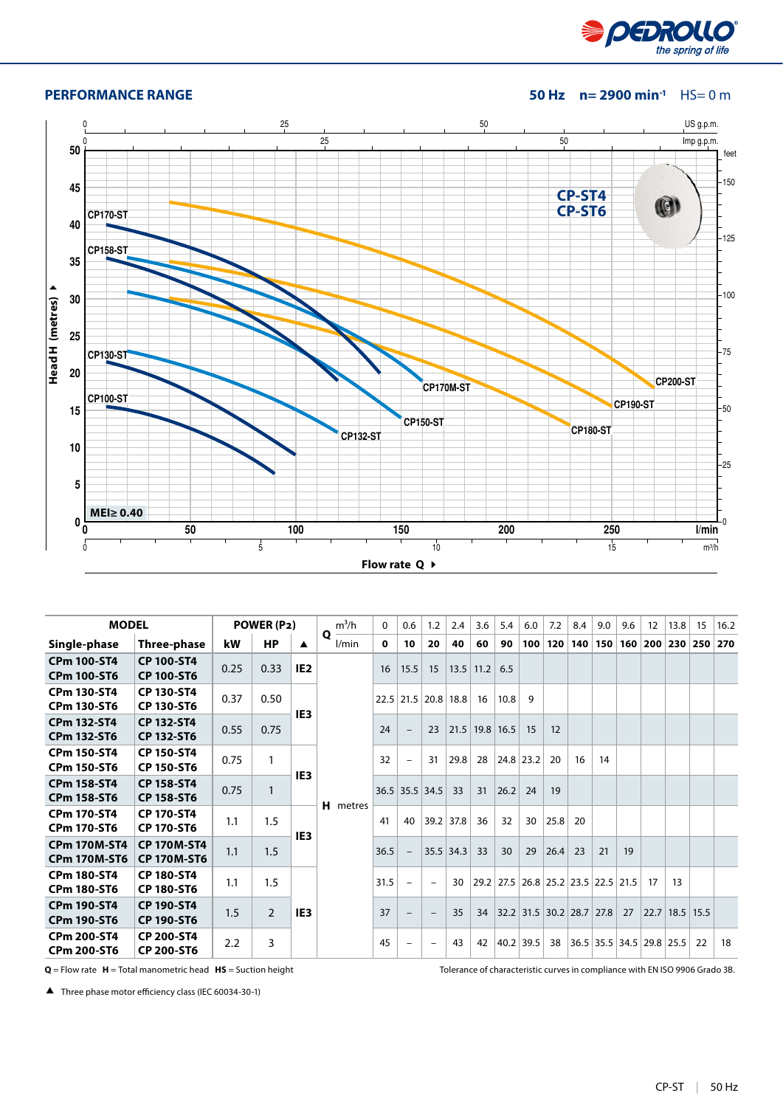

#### **PERFORMANCE RANGE 50 Hz n= 2900 min-1** HS= 0 m



| <b>MODEL</b>                               |                                          |      | POWER (P2)     |                 | $m^3/h$         | $\mathbf{0}$ | 0.6                      | 1.2 | 2.4              | 3.6         | 5.4  | 6.0       | 7.2  | 8.4 | 9.0                           | 9.6     | $12 \overline{ }$ | 13.8           | 15  | 16.2 |
|--------------------------------------------|------------------------------------------|------|----------------|-----------------|-----------------|--------------|--------------------------|-----|------------------|-------------|------|-----------|------|-----|-------------------------------|---------|-------------------|----------------|-----|------|
| Single-phase                               | Three-phase                              | kW   | <b>HP</b>      | ▲               | Q<br>l/min      | 0            | 10                       | 20  | 40               | 60          | 90   | 100       | 120  | 140 |                               | 150 160 |                   | 200 230        | 250 | 270  |
| <b>CPm 100-ST4</b><br><b>CPm 100-ST6</b>   | <b>CP 100-ST4</b><br><b>CP 100-ST6</b>   | 0.25 | 0.33           | IE <sub>2</sub> |                 | 16           | 15.5                     | 15  |                  | $13.5$ 11.2 | 6.5  |           |      |     |                               |         |                   |                |     |      |
| <b>CPm 130-ST4</b><br><b>CPm 130-ST6</b>   | <b>CP 130-ST4</b><br><b>CP 130-ST6</b>   | 0.37 | 0.50           | IE <sub>3</sub> |                 |              | $22.5$ 21.5              |     | 20.8 18.8        | 16          | 10.8 | 9         |      |     |                               |         |                   |                |     |      |
| <b>CPm 132-ST4</b><br><b>CPm 132-ST6</b>   | <b>CP 132-ST4</b><br><b>CP 132-ST6</b>   | 0.55 | 0.75           |                 |                 | 24           |                          | 23  | $21.5$ 19.8 16.5 |             |      | 15        | 12   |     |                               |         |                   |                |     |      |
| <b>CPm 150-ST4</b><br><b>CPm 150-ST6</b>   | CP 150-ST4<br><b>CP 150-ST6</b>          | 0.75 | 1              | IE <sub>3</sub> |                 | 32           | $\overline{\phantom{0}}$ | 31  | 29.8             | 28          |      | 24.8 23.2 | 20   | 16  | 14                            |         |                   |                |     |      |
| <b>CPm 158-ST4</b><br><b>CPm 158-ST6</b>   | <b>CP 158-ST4</b><br><b>CP 158-ST6</b>   | 0.75 | $\mathbf{1}$   |                 | <b>H</b> metres |              | 36.5 35.5 34.5           |     | 33               | 31          | 26.2 | 24        | 19   |     |                               |         |                   |                |     |      |
| <b>CPm 170-ST4</b><br><b>CPm 170-ST6</b>   | <b>CP 170-ST4</b><br><b>CP 170-ST6</b>   | 1.1  | 1.5            | IE <sub>3</sub> |                 | 41           | 40                       |     | 39.2 37.8        | 36          | 32   | 30        | 25.8 | 20  |                               |         |                   |                |     |      |
| <b>CPm 170M-ST4</b><br><b>CPm 170M-ST6</b> | <b>CP 170M-ST4</b><br><b>CP 170M-ST6</b> | 1.1  | 1.5            |                 |                 | 36.5         | $\overline{\phantom{a}}$ |     | $35.5$ 34.3      | 33          | 30   | 29        | 26.4 | 23  | 21                            | 19      |                   |                |     |      |
| <b>CPm 180-ST4</b><br><b>CPm 180-ST6</b>   | <b>CP 180-ST4</b><br><b>CP 180-ST6</b>   | 1.1  | 1.5            |                 |                 | 31.5         | $\overline{\phantom{a}}$ |     | 30               | 29.2        |      |           |      |     | 27.5 26.8 25.2 23.5 22.5 21.5 |         | 17                | 13             |     |      |
| <b>CPm 190-ST4</b><br><b>CPm 190-ST6</b>   | <b>CP 190-ST4</b><br><b>CP 190-ST6</b>   | 1.5  | $\overline{2}$ | IE <sub>3</sub> |                 | 37           |                          |     | 35               | 34          |      |           |      |     | 32.2 31.5 30.2 28.7 27.8      | 27      |                   | 22.7 18.5 15.5 |     |      |
| <b>CPm 200-ST4</b><br><b>CPm 200-ST6</b>   | <b>CP 200-ST4</b><br><b>CP 200-ST6</b>   | 2.2  | 3              |                 |                 | 45           | $\overline{\phantom{m}}$ |     | 43               | 42          |      | 40.2 39.5 | 38   |     | 36.5 35.5 34.5 29.8 25.5      |         |                   |                | 22  | 18   |

**Q** = Flow rate **H** = Total manometric head **HS** = Suction height Tolerance of characteristic curves in compliance with EN ISO 9906 Grado 3B.

Three phase motor efficiency class (IEC 60034-30-1)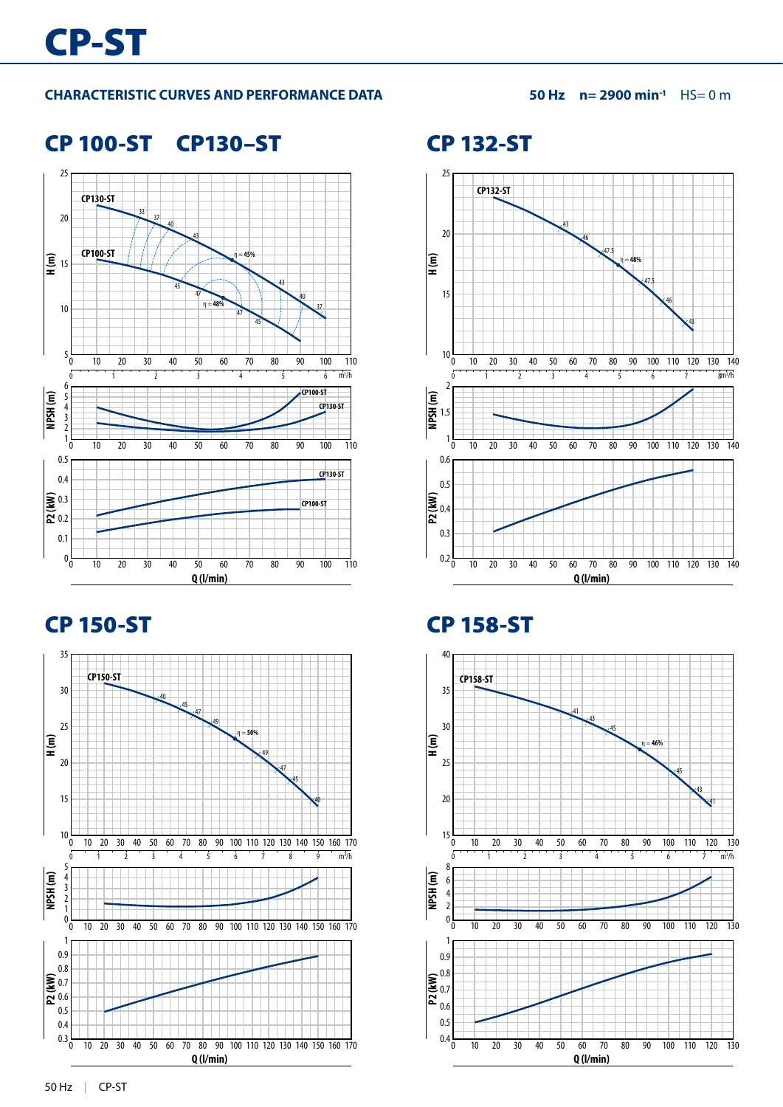### **CHARACTERISTIC CURVES AND PERFORMANCE DATA 50 Hz n= 2900 min-1** HS= 0 m

### CP 100-ST CP130–ST





CP 132-ST



## CP 150-ST CP 158-ST

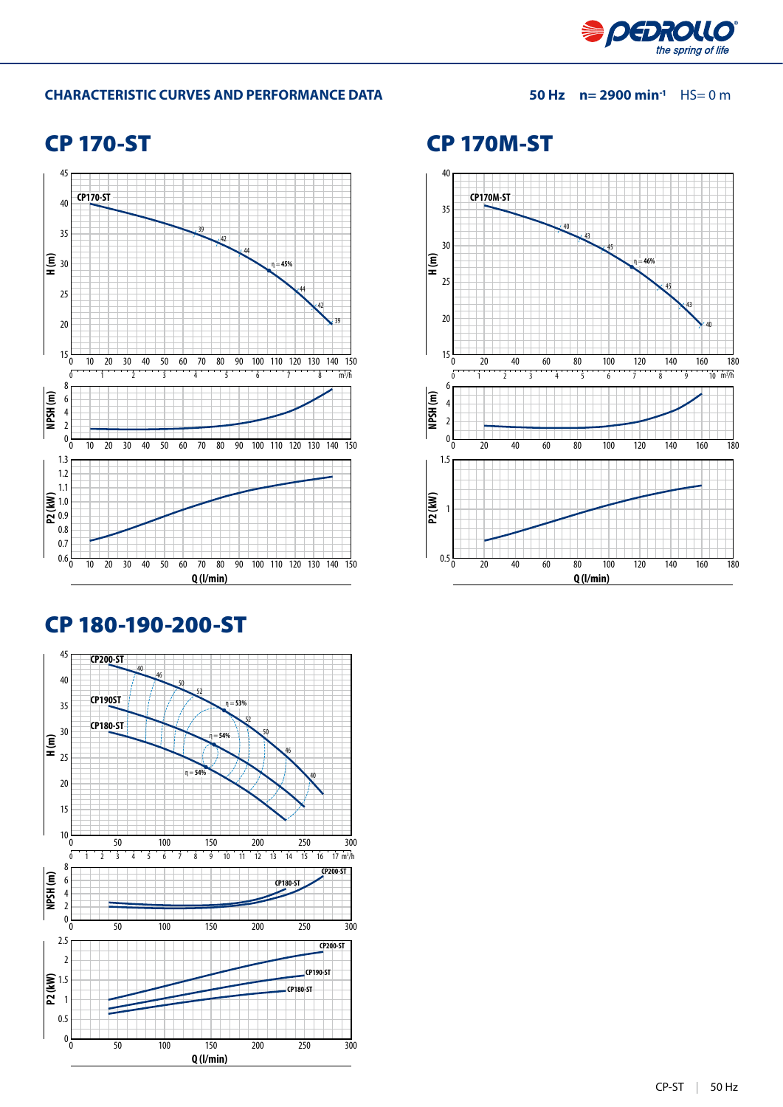

### **CHARACTERISTIC CURVES AND PERFORMANCE DATA 50 Hz n= 2900 min-1** HS= 0 m

## CP 170-ST



## CP 180-190-200-ST



### CP 170M-ST

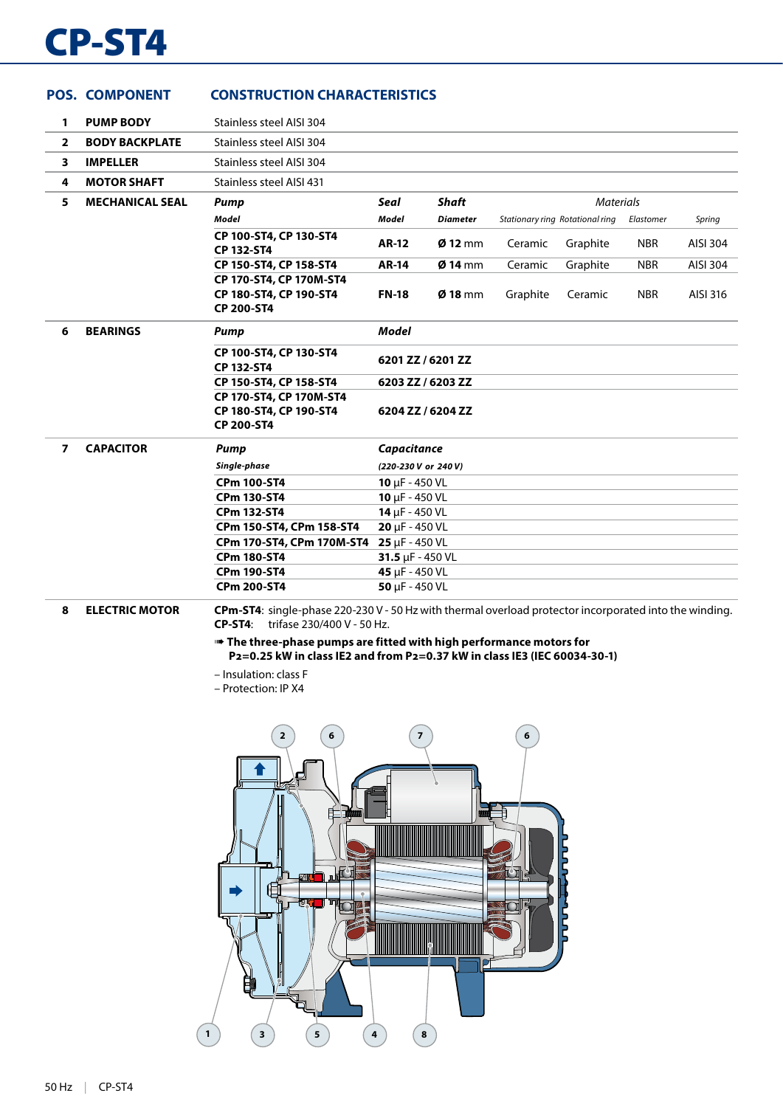# CP-ST4

|                | <b>POS. COMPONENT</b>  | <b>CONSTRUCTION CHARACTERISTICS</b>                                                                    |                             |                 |          |                                 |            |          |
|----------------|------------------------|--------------------------------------------------------------------------------------------------------|-----------------------------|-----------------|----------|---------------------------------|------------|----------|
| $\mathbf{1}$   | <b>PUMP BODY</b>       | Stainless steel AISI 304                                                                               |                             |                 |          |                                 |            |          |
| $\overline{2}$ | <b>BODY BACKPLATE</b>  | Stainless steel AISI 304                                                                               |                             |                 |          |                                 |            |          |
| 3              | <b>IMPELLER</b>        | Stainless steel AISI 304                                                                               |                             |                 |          |                                 |            |          |
| 4              | <b>MOTOR SHAFT</b>     | Stainless steel AISI 431                                                                               |                             |                 |          |                                 |            |          |
| 5.             | <b>MECHANICAL SEAL</b> | <b>Pump</b>                                                                                            | <b>Seal</b>                 | <b>Shaft</b>    |          | <b>Materials</b>                |            |          |
|                |                        | <b>Model</b>                                                                                           | Model                       | <b>Diameter</b> |          | Stationary ring Rotational ring | Elastomer  | Spring   |
|                |                        | CP 100-ST4, CP 130-ST4<br>CP 132-ST4                                                                   | <b>AR-12</b>                | $Ø$ 12 mm       | Ceramic  | Graphite                        | <b>NBR</b> | AISI 304 |
|                |                        | CP 150-ST4, CP 158-ST4                                                                                 | <b>AR-14</b>                | $Ø$ 14 mm       | Ceramic  | Graphite                        | <b>NBR</b> | AISI 304 |
|                |                        | CP 170-ST4, CP 170M-ST4<br>CP 180-ST4, CP 190-ST4<br>CP 200-ST4                                        | <b>FN-18</b>                | $Ø$ 18 mm       | Graphite | Ceramic                         | <b>NBR</b> | AISI 316 |
| 6              | <b>BEARINGS</b>        | Pump                                                                                                   | <b>Model</b>                |                 |          |                                 |            |          |
|                |                        | CP 100-ST4, CP 130-ST4<br>CP 132-ST4                                                                   | 6201 ZZ / 6201 ZZ           |                 |          |                                 |            |          |
|                |                        | CP 150-ST4, CP 158-ST4                                                                                 | 6203 ZZ / 6203 ZZ           |                 |          |                                 |            |          |
|                |                        | CP 170-ST4, CP 170M-ST4<br>CP 180-ST4, CP 190-ST4<br>CP 200-ST4                                        | 6204 ZZ / 6204 ZZ           |                 |          |                                 |            |          |
| $\overline{ }$ | <b>CAPACITOR</b>       | Pump                                                                                                   | Capacitance                 |                 |          |                                 |            |          |
|                |                        | Single-phase                                                                                           | (220-230 V or 240 V)        |                 |          |                                 |            |          |
|                |                        | <b>CPm 100-ST4</b>                                                                                     | 10 $\mu$ F - 450 VL         |                 |          |                                 |            |          |
|                |                        | <b>CPm 130-ST4</b>                                                                                     | $10 \mu F - 450 \text{ VL}$ |                 |          |                                 |            |          |
|                |                        | <b>CPm 132-ST4</b>                                                                                     | 14 $\mu$ F - 450 VL         |                 |          |                                 |            |          |
|                |                        | CPm 150-ST4, CPm 158-ST4                                                                               | $20 \mu F - 450 \text{ VL}$ |                 |          |                                 |            |          |
|                |                        | CPm 170-ST4, CPm 170M-ST4                                                                              | $25 \mu F - 450 \text{ VL}$ |                 |          |                                 |            |          |
|                |                        | <b>CPm 180-ST4</b>                                                                                     | 31.5 $\mu$ F - 450 VL       |                 |          |                                 |            |          |
|                |                        | <b>CPm 190-ST4</b>                                                                                     | 45 µF - 450 VL              |                 |          |                                 |            |          |
|                |                        | <b>CPm 200-ST4</b>                                                                                     | $50 \mu F - 450 \text{ VL}$ |                 |          |                                 |            |          |
| 8              | <b>ELECTRIC MOTOR</b>  | CPm-ST4: single-phase 220-230 V - 50 Hz with thermal overload protector incorporated into the winding. |                             |                 |          |                                 |            |          |

**CP-ST4**: trifase 230/400 V - 50 Hz.

➠ **The three-phase pumps are fitted with high performance motors for P2=0.25 kW in class IE2 and from P2=0.37 kW in class IE3 (IEC 60034-30-1)**

– Insulation: class F

– Protection: IP X4

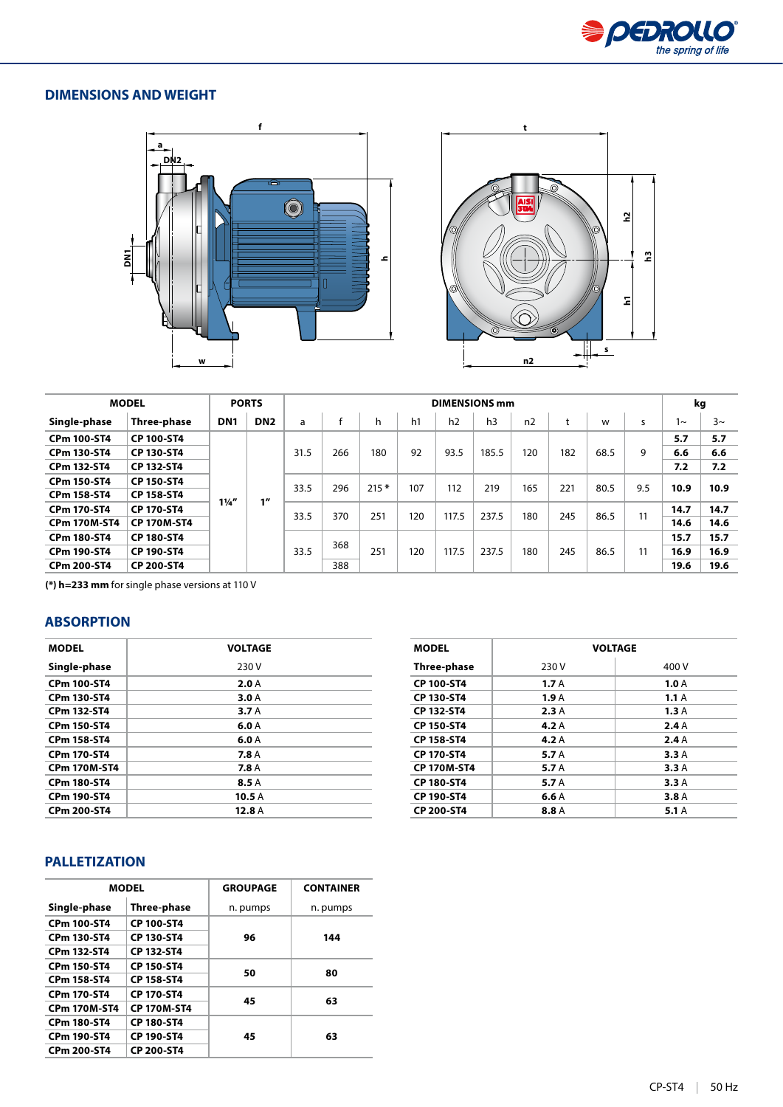

### **DIMENSIONS AND WEIGHT**





|                     | <b>MODEL</b>       |                 | <b>PORTS</b>    |      |     |        |     |       | <b>DIMENSIONS mm</b> |              |     |      |      | kg    |          |
|---------------------|--------------------|-----------------|-----------------|------|-----|--------|-----|-------|----------------------|--------------|-----|------|------|-------|----------|
| Single-phase        | Three-phase        | DN <sub>1</sub> | DN <sub>2</sub> | a    |     | h      | h1  | h2    | h <sub>3</sub>       | n2           |     | W    | s    | $1 -$ | $3~\sim$ |
| <b>CPm 100-ST4</b>  | <b>CP 100-ST4</b>  |                 |                 |      |     |        | 92  | 93.5  | 185.5                | 120          | 182 | 68.5 |      | 5.7   | 5.7      |
| CPm 130-ST4         | CP 130-ST4         |                 |                 | 31.5 | 266 | 180    |     |       |                      |              |     |      | 9    | 6.6   | 6.6      |
| CPm 132-ST4         | CP 132-ST4         |                 |                 |      |     |        |     |       |                      |              |     |      |      | 7.2   | 7.2      |
| <b>CPm 150-ST4</b>  | <b>CP 150-ST4</b>  |                 |                 |      |     |        |     |       |                      |              | 221 | 80.5 |      |       |          |
| <b>CPm 158-ST4</b>  | CP 158-ST4         | $1\frac{1}{4}$  | 1''             | 33.5 | 296 | $215*$ | 107 | 112   | 219                  | 165          |     |      | 9.5  | 10.9  | 10.9     |
| <b>CPm 170-ST4</b>  | CP 170-ST4         |                 |                 |      |     |        |     |       |                      | 237.5<br>180 | 245 | 86.5 |      | 14.7  | 14.7     |
| <b>CPm 170M-ST4</b> | <b>CP 170M-ST4</b> |                 |                 | 33.5 | 370 | 251    | 120 | 117.5 |                      |              |     |      | 11   | 14.6  | 14.6     |
| <b>CPm 180-ST4</b>  | <b>CP 180-ST4</b>  |                 |                 |      |     |        |     |       |                      |              |     |      |      | 15.7  | 15.7     |
| <b>CPm 190-ST4</b>  | CP 190-ST4         |                 |                 | 33.5 | 368 | 251    | 120 | 117.5 | 237.5                | 180          | 245 | 86.5 | 11   | 16.9  | 16.9     |
| CPm 200-ST4         | <b>CP 200-ST4</b>  |                 |                 |      | 388 |        |     |       |                      |              |     |      | 19.6 | 19.6  |          |

**(\*) h=233 mm** for single phase versions at 110 V

### **ABSORPTION**

| <b>MODEL</b>        | <b>VOLTAGE</b> |
|---------------------|----------------|
| Single-phase        | 230 V          |
| <b>CPm 100-ST4</b>  | 2.0A           |
| <b>CPm 130-ST4</b>  | 3.0A           |
| CPm 132-ST4         | 3.7A           |
| <b>CPm 150-ST4</b>  | 6.0 A          |
| CPm 158-ST4         | 6.0 A          |
| <b>CPm 170-ST4</b>  | <b>7.8 A</b>   |
| <b>CPm 170M-ST4</b> | <b>7.8 A</b>   |
| <b>CPm 180-ST4</b>  | 8.5 A          |
| <b>CPm 190-ST4</b>  | 10.5A          |
| CPm 200-ST4         | 12.8A          |

| <b>MODEL</b>       |       | <b>VOLTAGE</b> |
|--------------------|-------|----------------|
| Three-phase        | 230 V | 400 V          |
| CP 100-ST4         | 1.7A  | 1.0A           |
| CP 130-ST4         | 1.9A  | 1.1A           |
| CP 132-ST4         | 2.3A  | 1.3A           |
| CP 150-ST4         | 4.2A  | 2.4A           |
| CP 158-ST4         | 4.2A  | 2.4A           |
| <b>CP 170-ST4</b>  | 5.7 A | 3.3A           |
| <b>CP 170M-ST4</b> | 5.7 A | 3.3A           |
| <b>CP 180-ST4</b>  | 5.7 A | 3.3A           |
| CP 190-ST4         | 6.6A  | 3.8A           |
| <b>CP 200-ST4</b>  | 8.8 A | 5.1A           |

### **PALLETIZATION**

|                                         | <b>MODEL</b>       | <b>GROUPAGE</b> | <b>CONTAINER</b> |  |  |
|-----------------------------------------|--------------------|-----------------|------------------|--|--|
| Single-phase                            | Three-phase        | n. pumps        | n. pumps         |  |  |
| <b>CPm 100-ST4</b>                      | <b>CP 100-ST4</b>  |                 |                  |  |  |
| <b>CPm 130-ST4</b>                      | <b>CP 130-ST4</b>  | 96              | 144              |  |  |
| <b>CPm 132-ST4</b>                      | CP 132-ST4         |                 |                  |  |  |
| <b>CPm 150-ST4</b>                      | <b>CP 150-ST4</b>  |                 | 80               |  |  |
| <b>CPm 158-ST4</b>                      | <b>CP 158-ST4</b>  | 50              |                  |  |  |
| CPm 170-ST4                             | <b>CP 170-ST4</b>  | 45              | 63               |  |  |
| <b>CPm 170M-ST4</b>                     | <b>CP 170M-ST4</b> |                 |                  |  |  |
| <b>CPm 180-ST4</b>                      | <b>CP 180-ST4</b>  |                 |                  |  |  |
| <b>CPm 190-ST4</b><br><b>CP 190-ST4</b> |                    | 45              | 63               |  |  |
| CPm 200-ST4                             | <b>CP 200-ST4</b>  |                 |                  |  |  |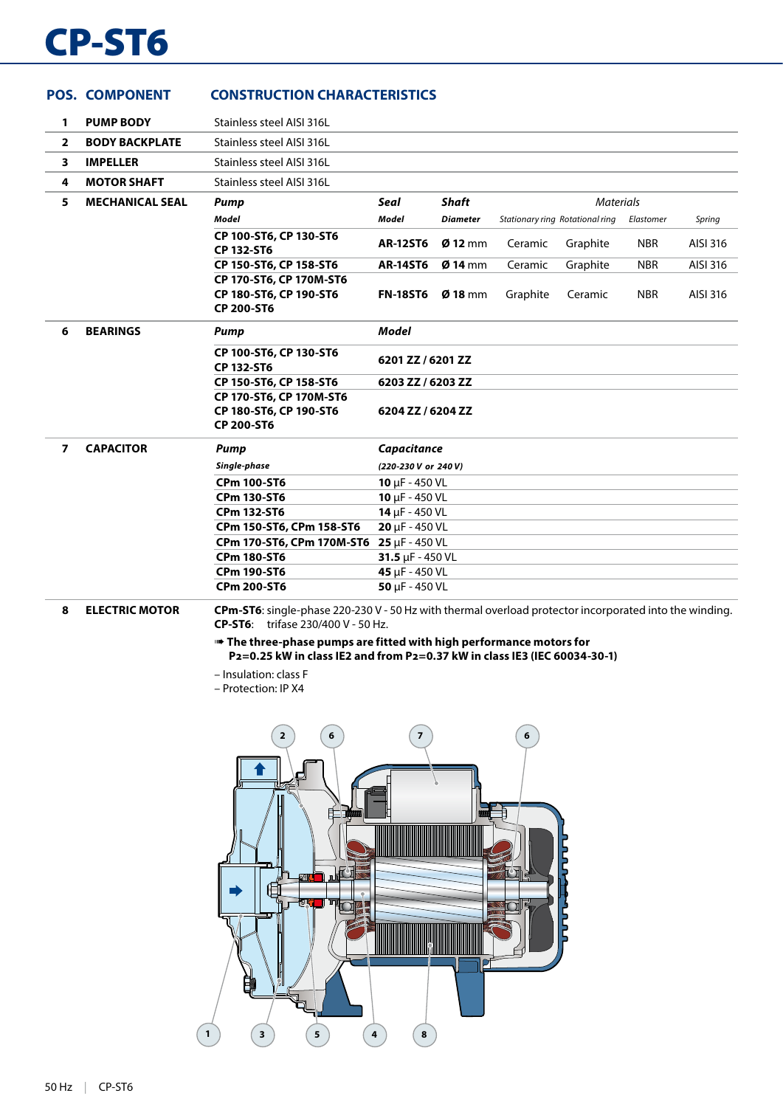# CP-ST6

|                | <b>POS. COMPONENT</b>  | <b>CONSTRUCTION CHARACTERISTICS</b>                                                                    |                             |                 |          |                                 |            |          |
|----------------|------------------------|--------------------------------------------------------------------------------------------------------|-----------------------------|-----------------|----------|---------------------------------|------------|----------|
| 1              | <b>PUMP BODY</b>       | Stainless steel AISI 316L                                                                              |                             |                 |          |                                 |            |          |
| $\overline{2}$ | <b>BODY BACKPLATE</b>  | Stainless steel AISI 316L                                                                              |                             |                 |          |                                 |            |          |
| 3              | <b>IMPELLER</b>        | Stainless steel AISI 316L                                                                              |                             |                 |          |                                 |            |          |
| 4              | <b>MOTOR SHAFT</b>     | Stainless steel AISI 316L                                                                              |                             |                 |          |                                 |            |          |
| 5              | <b>MECHANICAL SEAL</b> | Pump                                                                                                   | Seal                        | <b>Shaft</b>    |          | <b>Materials</b>                |            |          |
|                |                        | <b>Model</b>                                                                                           | Model                       | <b>Diameter</b> |          | Stationary ring Rotational ring | Elastomer  | Spring   |
|                |                        | CP 100-ST6, CP 130-ST6<br><b>CP 132-ST6</b>                                                            | <b>AR-12ST6</b>             | $Ø$ 12 mm       | Ceramic  | Graphite                        | <b>NBR</b> | AISI 316 |
|                |                        | CP 150-ST6, CP 158-ST6                                                                                 | <b>AR-14ST6</b>             | $Ø$ 14 mm       | Ceramic  | Graphite                        | <b>NBR</b> | AISI 316 |
|                |                        | CP 170-ST6, CP 170M-ST6<br>CP 180-ST6, CP 190-ST6<br>CP 200-ST6                                        | <b>FN-18ST6</b>             | $Ø$ 18 mm       | Graphite | Ceramic                         | <b>NBR</b> | AISI 316 |
| 6              | <b>BEARINGS</b>        | <b>Pump</b>                                                                                            | <b>Model</b>                |                 |          |                                 |            |          |
|                |                        | CP 100-ST6, CP 130-ST6<br><b>CP 132-ST6</b>                                                            | 6201 ZZ / 6201 ZZ           |                 |          |                                 |            |          |
|                |                        | CP 150-ST6, CP 158-ST6                                                                                 | 6203 ZZ / 6203 ZZ           |                 |          |                                 |            |          |
|                |                        | CP 170-ST6, CP 170M-ST6<br>CP 180-ST6, CP 190-ST6<br><b>CP 200-ST6</b>                                 | 6204 ZZ / 6204 ZZ           |                 |          |                                 |            |          |
| $\overline{7}$ | <b>CAPACITOR</b>       | Pump                                                                                                   | Capacitance                 |                 |          |                                 |            |          |
|                |                        | Single-phase                                                                                           | (220-230 V or 240 V)        |                 |          |                                 |            |          |
|                |                        | <b>CPm 100-ST6</b>                                                                                     | $10 \mu F - 450 \text{ VL}$ |                 |          |                                 |            |          |
|                |                        | <b>CPm 130-ST6</b>                                                                                     | 10 $\mu$ F - 450 VL         |                 |          |                                 |            |          |
|                |                        | <b>CPm 132-ST6</b>                                                                                     | $14 \mu F - 450 \text{ VL}$ |                 |          |                                 |            |          |
|                |                        | CPm 150-ST6, CPm 158-ST6                                                                               | $20 \mu F - 450 \text{ VL}$ |                 |          |                                 |            |          |
|                |                        | CPm 170-ST6, CPm 170M-ST6                                                                              | $25 \mu F - 450 \text{ VL}$ |                 |          |                                 |            |          |
|                |                        | <b>CPm 180-ST6</b>                                                                                     | 31.5 $\mu$ F - 450 VL       |                 |          |                                 |            |          |
|                |                        | <b>CPm 190-ST6</b>                                                                                     | 45 µF - 450 VL              |                 |          |                                 |            |          |
|                |                        | <b>CPm 200-ST6</b>                                                                                     | $50 \mu F - 450 \text{ VL}$ |                 |          |                                 |            |          |
| 8              | <b>ELECTRIC MOTOR</b>  | CPm-ST6: single-phase 220-230 V - 50 Hz with thermal overload protector incorporated into the winding. |                             |                 |          |                                 |            |          |

**CP-ST6**: trifase 230/400 V - 50 Hz.

➠ **The three-phase pumps are fitted with high performance motors for P2=0.25 kW in class IE2 and from P2=0.37 kW in class IE3 (IEC 60034-30-1)**

– Insulation: class F

– Protection: IP X4